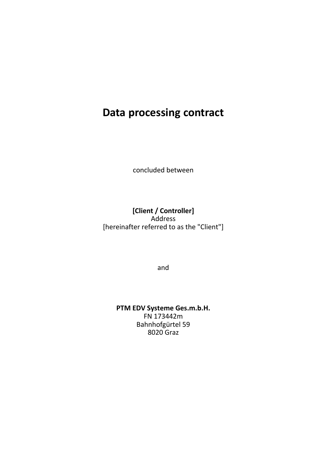# **Data processing contract**

concluded between

[Client / Controller] Address [hereinafter referred to as the "Client"]

and

PTM EDV Systeme Ges.m.b.H. FN 173442m Bahnhofgürtel 59 8020 Graz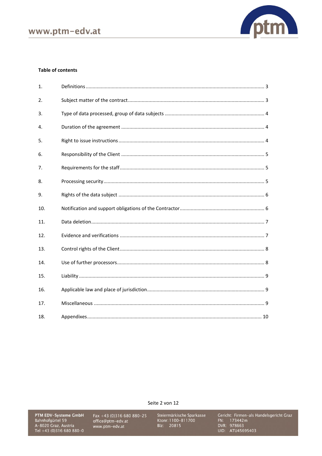

#### **Table of contents**

| 1.  |  |
|-----|--|
| 2.  |  |
| 3.  |  |
| 4.  |  |
| 5.  |  |
| 6.  |  |
| 7.  |  |
| 8.  |  |
| 9.  |  |
| 10. |  |
| 11. |  |
| 12. |  |
| 13. |  |
| 14. |  |
| 15. |  |
| 16. |  |
| 17. |  |
| 18. |  |

Seite 2 von 12

**PTM EDV-Systeme GmbH**<br>Bahnhofgürtel 59<br>A-8020 Graz, Austria<br>Tel +43 (0)316 680 880-0

Fax +43 (0)316 680 880-25<br>office@ptm-edv.at www.ptm-edv.at

Steiermärkische Sparkasse<br>Ktonr: 1100–811700<br>Blz: 20815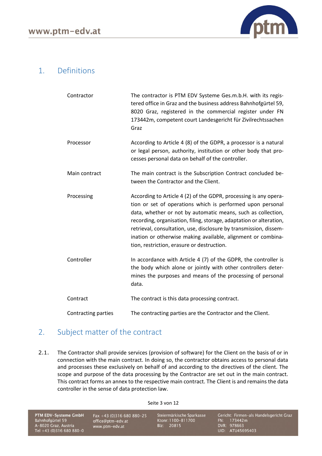

### <span id="page-2-0"></span>1. Definitions

| Contractor                 | The contractor is PTM EDV Systeme Ges.m.b.H. with its regis-<br>tered office in Graz and the business address Bahnhofgürtel 59,<br>8020 Graz, registered in the commercial register under FN<br>173442m, competent court Landesgericht für Zivilrechtssachen<br>Graz                                                                                                                                                                                     |
|----------------------------|----------------------------------------------------------------------------------------------------------------------------------------------------------------------------------------------------------------------------------------------------------------------------------------------------------------------------------------------------------------------------------------------------------------------------------------------------------|
| Processor                  | According to Article 4 (8) of the GDPR, a processor is a natural<br>or legal person, authority, institution or other body that pro-<br>cesses personal data on behalf of the controller.                                                                                                                                                                                                                                                                 |
| Main contract              | The main contract is the Subscription Contract concluded be-<br>tween the Contractor and the Client.                                                                                                                                                                                                                                                                                                                                                     |
| Processing                 | According to Article 4 (2) of the GDPR, processing is any opera-<br>tion or set of operations which is performed upon personal<br>data, whether or not by automatic means, such as collection,<br>recording, organisation, filing, storage, adaptation or alteration,<br>retrieval, consultation, use, disclosure by transmission, dissem-<br>ination or otherwise making available, alignment or combina-<br>tion, restriction, erasure or destruction. |
| Controller                 | In accordance with Article 4 (7) of the GDPR, the controller is<br>the body which alone or jointly with other controllers deter-<br>mines the purposes and means of the processing of personal<br>data.                                                                                                                                                                                                                                                  |
| Contract                   | The contract is this data processing contract.                                                                                                                                                                                                                                                                                                                                                                                                           |
| <b>Contracting parties</b> | The contracting parties are the Contractor and the Client.                                                                                                                                                                                                                                                                                                                                                                                               |

# <span id="page-2-1"></span>2. Subject matter of the contract

2.1. The Contractor shall provide services (provision of software) for the Client on the basis of or in connection with the main contract. In doing so, the contractor obtains access to personal data and processes these exclusively on behalf of and according to the directives of the client. The scope and purpose of the data processing by the Contractor are set out in the main contract. This contract forms an annex to the respective main contract. The Client is and remains the data controller in the sense of data protection law.

Seite 3 von 12

PTM EDV-Systeme GmbH Bahnhofgürtel 59 A-8020 Graz, Austria<br>Tel +43 (0)316 680 880-0

Fax +43 (0)316 680 880-25 office@ptm-edv.at www.ptm-edv.at

Steiermärkische Sparkasse Ktonr: 1100-811700 Blz: 20815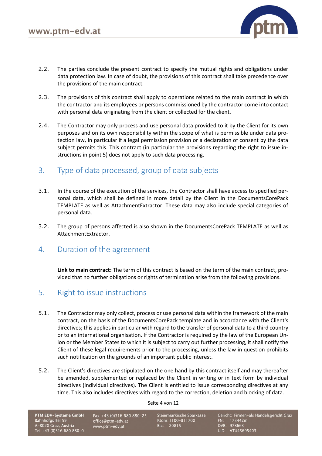

- 2.2. The parties conclude the present contract to specify the mutual rights and obligations under data protection law. In case of doubt, the provisions of this contract shall take precedence over the provisions of the main contract.
- 2.3. The provisions of this contract shall apply to operations related to the main contract in which the contractor and its employees or persons commissioned by the contractor come into contact with personal data originating from the client or collected for the client.
- 2.4. The Contractor may only process and use personal data provided to it by the Client for its own purposes and on its own responsibility within the scope of what is permissible under data protection law, in particular if a legal permission provision or a declaration of consent by the data subject permits this. This contract (in particular the provisions regarding the right to issue instructions in point 5) does not apply to such data processing.

# <span id="page-3-0"></span>3. Type of data processed, group of data subjects

- 3.1. In the course of the execution of the services, the Contractor shall have access to specified personal data, which shall be defined in more detail by the Client in the DocumentsCorePack TEMPLATE as well as AttachmentExtractor. These data may also include special categories of personal data.
- 3.2. The group of persons affected is also shown in the DocumentsCorePack TEMPLATE as well as AttachmentExtractor.
- <span id="page-3-1"></span>4. Duration of the agreement

**Link to main contract:** The term of this contract is based on the term of the main contract, provided that no further obligations or rights of termination arise from the following provisions.

#### <span id="page-3-2"></span>5. Right to issue instructions

- 5.1. The Contractor may only collect, process or use personal data within the framework of the main contract, on the basis of the DocumentsCorePack template and in accordance with the Client's directives; this applies in particular with regard to the transfer of personal data to a third country or to an international organisation. If the Contractor is required by the law of the European Union or the Member States to which it is subject to carry out further processing, it shall notify the Client of these legal requirements prior to the processing, unless the law in question prohibits such notification on the grounds of an important public interest.
- 5.2. The Client's directives are stipulated on the one hand by this contract itself and may thereafter be amended, supplemented or replaced by the Client in writing or in text form by individual directives (individual directives). The Client is entitled to issue corresponding directives at any time. This also includes directives with regard to the correction, deletion and blocking of data.

Seite 4 von 12

PTM EDV-Systeme GmbH Bahnhofgürtel 59 A-8020 Graz, Austria Tel +43 (0)316 680 880-0

Fax +43 (0)316 680 880-25 office@ptm-edv.at www.ptm-edv.at

Steiermärkische Sparkasse Ktonr: 1100-811700 Blz: 20815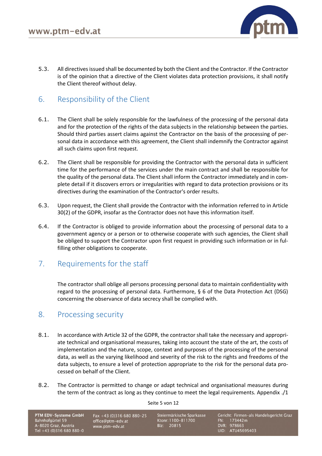

5.3. All directives issued shall be documented by both the Client and the Contractor. If the Contractor is of the opinion that a directive of the Client violates data protection provisions, it shall notify the Client thereof without delay.

# <span id="page-4-0"></span>6. Responsibility of the Client

- 6.1. The Client shall be solely responsible for the lawfulness of the processing of the personal data and for the protection of the rights of the data subjects in the relationship between the parties. Should third parties assert claims against the Contractor on the basis of the processing of personal data in accordance with this agreement, the Client shall indemnify the Contractor against all such claims upon first request.
- 6.2. The Client shall be responsible for providing the Contractor with the personal data in sufficient time for the performance of the services under the main contract and shall be responsible for the quality of the personal data. The Client shall inform the Contractor immediately and in complete detail if it discovers errors or irregularities with regard to data protection provisions or its directives during the examination of the Contractor's order results.
- 6.3. Upon request, the Client shall provide the Contractor with the information referred to in Article 30(2) of the GDPR, insofar as the Contractor does not have this information itself.
- 6.4. If the Contractor is obliged to provide information about the processing of personal data to a government agency or a person or to otherwise cooperate with such agencies, the Client shall be obliged to support the Contractor upon first request in providing such information or in fulfilling other obligations to cooperate.

# <span id="page-4-1"></span>7. Requirements for the staff

The contractor shall oblige all persons processing personal data to maintain confidentiality with regard to the processing of personal data. Furthermore, § 6 of the Data Protection Act (DSG) concerning the observance of data secrecy shall be complied with.

#### <span id="page-4-2"></span>8. Processing security

- 8.1. In accordance with Article 32 of the GDPR, the contractor shall take the necessary and appropriate technical and organisational measures, taking into account the state of the art, the costs of implementation and the nature, scope, context and purposes of the processing of the personal data, as well as the varying likelihood and severity of the risk to the rights and freedoms of the data subjects, to ensure a level of protection appropriate to the risk for the personal data processed on behalf of the Client.
- 8.2. The Contractor is permitted to change or adapt technical and organisational measures during the term of the contract as long as they continue to meet the legal requirements. Appendix ./1

Seite 5 von 12

PTM EDV-Systeme GmbH Bahnhofgürtel 59 A-8020 Graz, Austria Tel +43 (0)316 680 880-0

Fax +43 (0)316 680 880-25 office@ptm-edv.at www.ptm-edv.at

Steiermärkische Sparkasse Ktonr: 1100-811700 Blz: 20815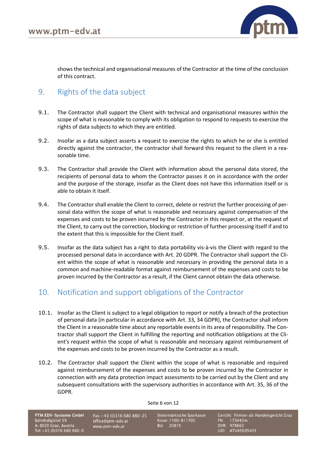

shows the technical and organisational measures of the Contractor at the time of the conclusion of this contract.

#### <span id="page-5-0"></span>9. Rights of the data subject

- 9.1. The Contractor shall support the Client with technical and organisational measures within the scope of what is reasonable to comply with its obligation to respond to requests to exercise the rights of data subjects to which they are entitled.
- 9.2. Insofar as a data subject asserts a request to exercise the rights to which he or she is entitled directly against the contractor, the contractor shall forward this request to the client in a reasonable time.
- 9.3. The Contractor shall provide the Client with information about the personal data stored, the recipients of personal data to whom the Contractor passes it on in accordance with the order and the purpose of the storage, insofar as the Client does not have this information itself or is able to obtain it itself.
- 9.4. The Contractor shall enable the Client to correct, delete or restrict the further processing of personal data within the scope of what is reasonable and necessary against compensation of the expenses and costs to be proven incurred by the Contractor in this respect or, at the request of the Client, to carry out the correction, blocking or restriction of further processing itself if and to the extent that this is impossible for the Client itself.
- 9.5. Insofar as the data subject has a right to data portability vis-à-vis the Client with regard to the processed personal data in accordance with Art. 20 GDPR. The Contractor shall support the Client within the scope of what is reasonable and necessary in providing the personal data in a common and machine-readable format against reimbursement of the expenses and costs to be proven incurred by the Contractor as a result, if the Client cannot obtain the data otherwise.

# <span id="page-5-1"></span>10. Notification and support obligations of the Contractor

- 10.1. Insofar as the Client is subject to a legal obligation to report or notify a breach of the protection of personal data (in particular in accordance with Art. 33, 34 GDPR), the Contractor shall inform the Client in a reasonable time about any reportable events in its area of responsibility. The Contractor shall support the Client in fulfilling the reporting and notification obligations at the Client's request within the scope of what is reasonable and necessary against reimbursement of the expenses and costs to be proven incurred by the Contractor as a result.
- 10.2. The Contractor shall support the Client within the scope of what is reasonable and required against reimbursement of the expenses and costs to be proven incurred by the Contractor in connection with any data protection impact assessments to be carried out by the Client and any subsequent consultations with the supervisory authorities in accordance with Art. 35, 36 of the GDPR.

Seite 6 von 12

PTM EDV-Systeme GmbH Bahnhofgürtel 59 A-8020 Graz, Austria Tel +43 (0)316 680 880-0

Fax +43 (0)316 680 880-25 office@ptm-edv.at www.ptm-edv.at

Steiermärkische Sparkasse Ktonr: 1100-811700 Blz: 20815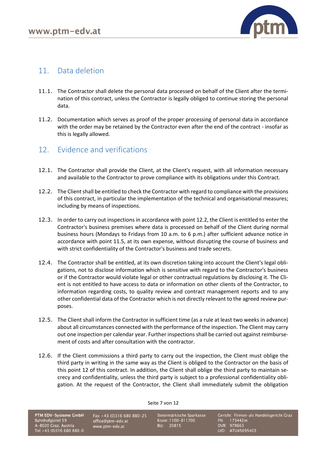

#### <span id="page-6-0"></span>11. Data deletion

- 11.1. The Contractor shall delete the personal data processed on behalf of the Client after the termination of this contract, unless the Contractor is legally obliged to continue storing the personal data.
- 11.2. Documentation which serves as proof of the proper processing of personal data in accordance with the order may be retained by the Contractor even after the end of the contract - insofar as this is legally allowed.

#### <span id="page-6-1"></span>12. Evidence and verifications

- 12.1. The Contractor shall provide the Client, at the Client's request, with all information necessary and available to the Contractor to prove compliance with its obligations under this Contract.
- 12.2. The Client shall be entitled to check the Contractor with regard to compliance with the provisions of this contract, in particular the implementation of the technical and organisational measures; including by means of inspections.
- 12.3. In order to carry out inspections in accordance with point 12.2, the Client is entitled to enter the Contractor's business premises where data is processed on behalf of the Client during normal business hours (Mondays to Fridays from 10 a.m. to 6 p.m.) after sufficient advance notice in accordance with point 11.5, at its own expense, without disrupting the course of business and with strict confidentiality of the Contractor's business and trade secrets.
- 12.4. The Contractor shall be entitled, at its own discretion taking into account the Client's legal obligations, not to disclose information which is sensitive with regard to the Contractor's business or if the Contractor would violate legal or other contractual regulations by disclosing it. The Client is not entitled to have access to data or information on other clients of the Contractor, to information regarding costs, to quality review and contract management reports and to any other confidential data of the Contractor which is not directly relevant to the agreed review purposes.
- 12.5. The Client shall inform the Contractor in sufficient time (as a rule at least two weeks in advance) about all circumstances connected with the performance of the inspection. The Client may carry out one inspection per calendar year. Further inspections shall be carried out against reimbursement of costs and after consultation with the contractor.
- 12.6. If the Client commissions a third party to carry out the inspection, the Client must oblige the third party in writing in the same way as the Client is obliged to the Contractor on the basis of this point 12 of this contract. In addition, the Client shall oblige the third party to maintain secrecy and confidentiality, unless the third party is subject to a professional confidentiality obligation. At the request of the Contractor, the Client shall immediately submit the obligation

Seite 7 von 12

PTM EDV-Systeme GmbH Bahnhofgürtel 59 A-8020 Graz, Austria Tel +43 (0)316 680 880-0

Fax +43 (0)316 680 880-25 office@ptm-edv.at www.ptm-edv.at

Steiermärkische Sparkasse Ktonr: 1100-811700 Blz: 20815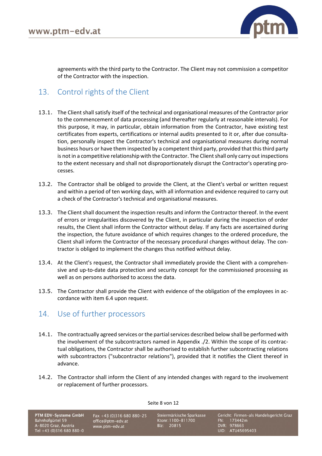

agreements with the third party to the Contractor. The Client may not commission a competitor of the Contractor with the inspection.

### <span id="page-7-0"></span>13. Control rights of the Client

- 13.1. The Client shall satisfy itself of the technical and organisational measures of the Contractor prior to the commencement of data processing (and thereafter regularly at reasonable intervals). For this purpose, it may, in particular, obtain information from the Contractor, have existing test certificates from experts, certifications or internal audits presented to it or, after due consultation, personally inspect the Contractor's technical and organisational measures during normal business hours or have them inspected by a competent third party, provided that this third party is not in a competitive relationship with the Contractor. The Client shall only carry out inspections to the extent necessary and shall not disproportionately disrupt the Contractor's operating processes.
- 13.2. The Contractor shall be obliged to provide the Client, at the Client's verbal or written request and within a period of ten working days, with all information and evidence required to carry out a check of the Contractor's technical and organisational measures.
- 13.3. The Client shall document the inspection results and inform the Contractor thereof. In the event of errors or irregularities discovered by the Client, in particular during the inspection of order results, the Client shall inform the Contractor without delay. If any facts are ascertained during the inspection, the future avoidance of which requires changes to the ordered procedure, the Client shall inform the Contractor of the necessary procedural changes without delay. The contractor is obliged to implement the changes thus notified without delay.
- 13.4. At the Client's request, the Contractor shall immediately provide the Client with a comprehensive and up-to-date data protection and security concept for the commissioned processing as well as on persons authorised to access the data.
- 13.5. The Contractor shall provide the Client with evidence of the obligation of the employees in accordance with item 6.4 upon request.

#### <span id="page-7-1"></span>14. Use of further processors

- 14.1. The contractually agreed services or the partial services described below shall be performed with the involvement of the subcontractors named in Appendix ./2. Within the scope of its contractual obligations, the Contractor shall be authorised to establish further subcontracting relations with subcontractors ("subcontractor relations"), provided that it notifies the Client thereof in advance.
- 14.2. The Contractor shall inform the Client of any intended changes with regard to the involvement or replacement of further processors.

Seite 8 von 12

PTM EDV-Systeme GmbH Bahnhofgürtel 59 A-8020 Graz, Austria Tel +43 (0)316 680 880-0

Fax +43 (0)316 680 880-25 office@ptm-edv.at www.ptm-edv.at

Steiermärkische Sparkasse Ktonr: 1100-811700 Blz: 20815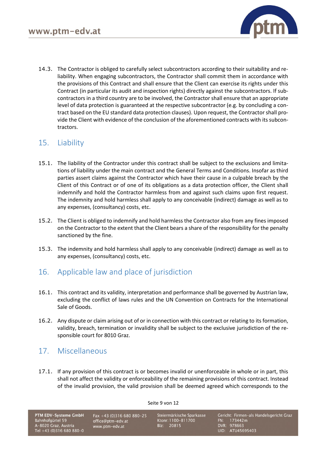

14.3. The Contractor is obliged to carefully select subcontractors according to their suitability and reliability. When engaging subcontractors, the Contractor shall commit them in accordance with the provisions of this Contract and shall ensure that the Client can exercise its rights under this Contract (in particular its audit and inspection rights) directly against the subcontractors. If subcontractors in a third country are to be involved, the Contractor shall ensure that an appropriate level of data protection is guaranteed at the respective subcontractor (e.g. by concluding a contract based on the EU standard data protection clauses). Upon request, the Contractor shall provide the Client with evidence of the conclusion of the aforementioned contracts with its subcontractors.

### <span id="page-8-0"></span>15. Liability

- 15.1. The liability of the Contractor under this contract shall be subject to the exclusions and limitations of liability under the main contract and the General Terms and Conditions. Insofar as third parties assert claims against the Contractor which have their cause in a culpable breach by the Client of this Contract or of one of its obligations as a data protection officer, the Client shall indemnify and hold the Contractor harmless from and against such claims upon first request. The indemnity and hold harmless shall apply to any conceivable (indirect) damage as well as to any expenses, (consultancy) costs, etc.
- 15.2. The Client is obliged to indemnify and hold harmless the Contractor also from any fines imposed on the Contractor to the extent that the Client bears a share of the responsibility for the penalty sanctioned by the fine.
- 15.3. The indemnity and hold harmless shall apply to any conceivable (indirect) damage as well as to any expenses, (consultancy) costs, etc.

# <span id="page-8-1"></span>16. Applicable law and place of jurisdiction

- 16.1. This contract and its validity, interpretation and performance shall be governed by Austrian law, excluding the conflict of laws rules and the UN Convention on Contracts for the International Sale of Goods.
- 16.2. Any dispute or claim arising out of or in connection with this contract or relating to its formation, validity, breach, termination or invalidity shall be subject to the exclusive jurisdiction of the responsible court for 8010 Graz.

# <span id="page-8-2"></span>17. Miscellaneous

17.1. If any provision of this contract is or becomes invalid or unenforceable in whole or in part, this shall not affect the validity or enforceability of the remaining provisions of this contract. Instead of the invalid provision, the valid provision shall be deemed agreed which corresponds to the

Seite 9 von 12

PTM EDV-Systeme GmbH Bahnhofgürtel 59 A-8020 Graz, Austria Tel +43 (0)316 680 880-0

Fax +43 (0)316 680 880-25 office@ptm-edv.at www.ptm-edv.at

Steiermärkische Sparkasse Ktonr: 1100-811700 Blz: 20815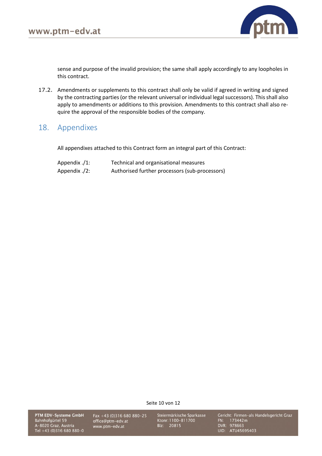

sense and purpose of the invalid provision; the same shall apply accordingly to any loopholes in this contract.

17.2. Amendments or supplements to this contract shall only be valid if agreed in writing and signed by the contracting parties (or the relevant universal or individual legal successors). This shall also apply to amendments or additions to this provision. Amendments to this contract shall also require the approval of the responsible bodies of the company.

#### <span id="page-9-0"></span>18. Appendixes

All appendixes attached to this Contract form an integral part of this Contract:

| Appendix $\frac{1}{2}$ : | Technical and organisational measures          |
|--------------------------|------------------------------------------------|
| Appendix ./2:            | Authorised further processors (sub-processors) |

Seite 10 von 12

PTM EDV-Systeme GmbH Bahnhofgürtel 59 A-8020 Graz, Austria<br>Tel +43 (0)316 680 880-0

Fax +43 (0)316 680 880-25 office@ptm-edv.at www.ptm-edv.at

Steiermärkische Sparkasse Ktonr: 1100-811700 Blz: 20815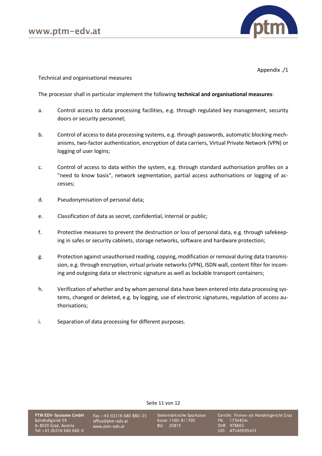

Appendix ./1

Technical and organisational measures

The processor shall in particular implement the following **technical and organisational measures**:

- a. Control access to data processing facilities, e.g. through regulated key management, security doors or security personnel;
- b. Control of access to data processing systems, e.g. through passwords, automatic blocking mechanisms, two-factor authentication, encryption of data carriers, Virtual Private Network (VPN) or logging of user logins;
- c. Control of access to data within the system, e.g. through standard authorisation profiles on a "need to know basis", network segmentation, partial access authorisations or logging of accesses;
- d. Pseudonymisation of personal data;
- e. Classification of data as secret, confidential, internal or public;
- f. Protective measures to prevent the destruction or loss of personal data, e.g. through safekeeping in safes or security cabinets, storage networks, software and hardware protection;
- g. Protection against unauthorised reading, copying, modification or removal during data transmission, e.g. through encryption, virtual private networks (VPN), ISDN wall, content filter for incoming and outgoing data or electronic signature as well as lockable transport containers;
- h. Verification of whether and by whom personal data have been entered into data processing systems, changed or deleted, e.g. by logging, use of electronic signatures, regulation of access authorisations;
- i. Separation of data processing for different purposes.

Fax +43 (0)316 680 880-25 office@ptm-edv.at www.ptm-edv.at

Steiermärkische Sparkasse Ktonr: 1100-811700 Blz: 20815

Seite 11 von 12